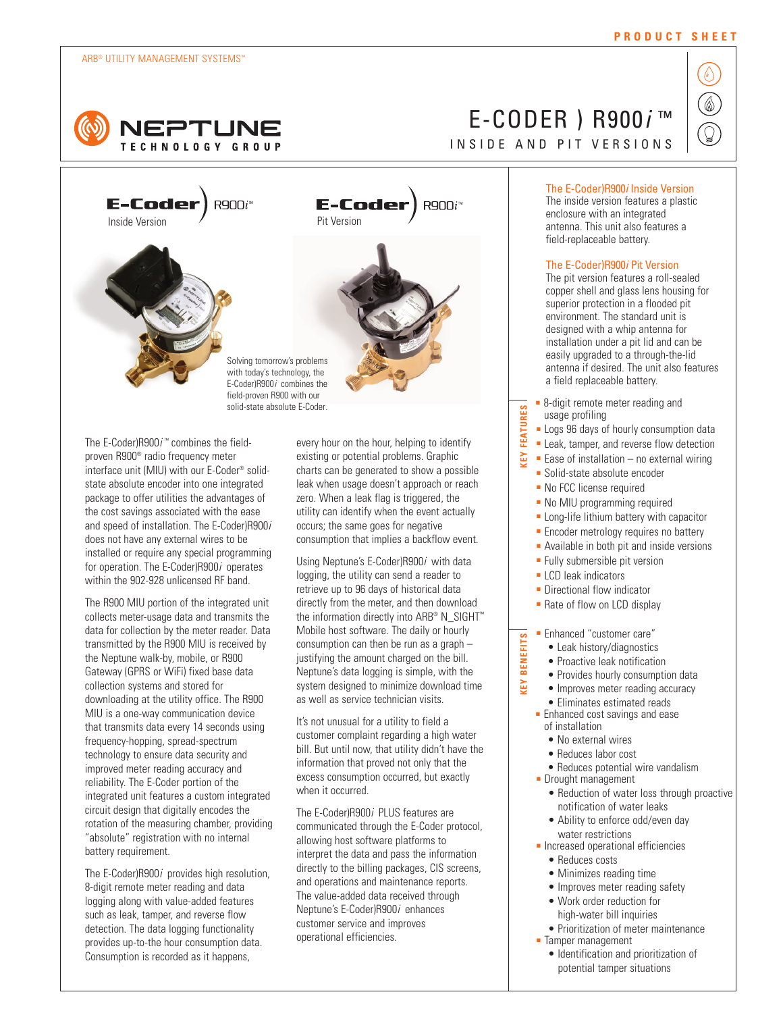### ARB® UTILITY MANAGEMENT SYSTEMS™







E-Coder)  $R900i^w$ 



The E-Coder)R900*i* ™ combines the fieldproven R900® radio frequency meter interface unit (MIU) with our E-Coder® solidstate absolute encoder into one integrated package to offer utilities the advantages of the cost savings associated with the ease and speed of installation. The E-Coder)R900*i* does not have any external wires to be installed or require any special programming for operation. The E-Coder)R900*i* operates

solid-state absolute E-Coder.

within the 902-928 unlicensed RF band.

The R900 MIU portion of the integrated unit collects meter-usage data and transmits the data for collection by the meter reader. Data transmitted by the R900 MIU is received by the Neptune walk-by, mobile, or R900 Gateway (GPRS or WiFi) fixed base data collection systems and stored for downloading at the utility office. The R900 MIU is a one-way communication device that transmits data every 14 seconds using frequency-hopping, spread-spectrum technology to ensure data security and improved meter reading accuracy and reliability. The E-Coder portion of the integrated unit features a custom integrated circuit design that digitally encodes the rotation of the measuring chamber, providing "absolute" registration with no internal battery requirement.

The E-Coder)R900*i* provides high resolution, 8-digit remote meter reading and data logging along with value-added features such as leak, tamper, and reverse flow detection. The data logging functionality provides up-to-the hour consumption data. Consumption is recorded as it happens,

every hour on the hour, helping to identify existing or potential problems. Graphic charts can be generated to show a possible leak when usage doesn't approach or reach zero. When a leak flag is triggered, the utility can identify when the event actually occurs; the same goes for negative consumption that implies a backflow event.

Using Neptune's E-Coder)R900*i* with data logging, the utility can send a reader to retrieve up to 96 days of historical data directly from the meter, and then download the information directly into ARB® N\_SIGHT<sup>™</sup> Mobile host software. The daily or hourly consumption can then be run as a graph – justifying the amount charged on the bill. Neptune's data logging is simple, with the system designed to minimize download time as well as service technician visits.

It's not unusual for a utility to field a customer complaint regarding a high water bill. But until now, that utility didn't have the information that proved not only that the excess consumption occurred, but exactly when it occurred.

The E-Coder)R900*i* PLUS features are communicated through the E-Coder protocol, allowing host software platforms to interpret the data and pass the information directly to the billing packages, CIS screens, and operations and maintenance reports. The value-added data received through Neptune's E-Coder)R900*i* enhances customer service and improves operational efficiencies.

## **PRODUCT SHEET**

# E-CODER ) R900*i* ™ I NSIDE AND PIT VERSIONS



## The E-Coder)R900*i* Inside Version

The inside version features a plastic enclosure with an integrated antenna. This unit also features a field-replaceable battery.

## The E-Coder)R900*i* Pit Version

The pit version features a roll-sealed copper shell and glass lens housing for superior protection in a flooded pit environment. The standard unit is designed with a whip antenna for installation under a pit lid and can be easily upgraded to a through-the-lid antenna if desired. The unit also features a field replaceable battery.

- 8-digit remote meter reading and usage profiling
- Logs 96 days of hourly consumption data
- **KEY FEATURES** ■ Leak, tamper, and reverse flow detection
- ă  $\blacksquare$  Ease of installation – no external wiring
	- Solid-state absolute encoder
	- No FCC license required
	- No MIU programming required
	- Long-life lithium battery with capacitor
	- Encoder metrology requires no battery
	- Available in both pit and inside versions
	- Fully submersible pit version
	- LCD leak indicators

**KEY BENEFITS**

ă

**BENEFITS** 

**FEATURES** 

- Directional flow indicator
- Rate of flow on LCD display

## ■ Enhanced "customer care"

- Leak history/diagnostics
- Proactive leak notification
- Provides hourly consumption data
- Improves meter reading accuracy
- Eliminates estimated reads
- Enhanced cost savings and ease of installation
	- No external wires
	- Reduces labor cost
- Reduces potential wire vandalism
- Drought management
	- Reduction of water loss through proactive notification of water leaks
	- Ability to enforce odd/even day water restrictions
- Increased operational efficiencies • Reduces costs
	-
	- Minimizes reading time • Improves meter reading safety
	- Work order reduction for
		- high-water bill inquiries
- Prioritization of meter maintenance ■ Tamper management
	-
	- Identification and prioritization of potential tamper situations